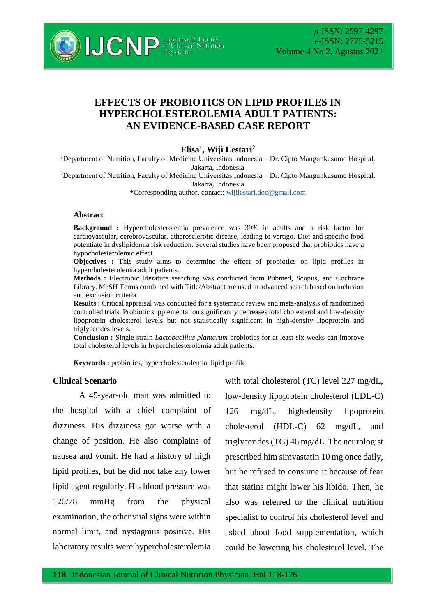

# **EFFECTS OF PROBIOTICS ON LIPID PROFILES IN HYPERCHOLESTEROLEMIA ADULT PATIENTS: AN EVIDENCE-BASED CASE REPORT**

**Elisa<sup>1</sup> , Wiji Lestari<sup>2</sup>**

<sup>1</sup>Department of Nutrition, Faculty of Medicine Universitas Indonesia – Dr. Cipto Mangunkusumo Hospital, Jakarta, Indonesia

<sup>2</sup>Department of Nutrition, Faculty of Medicine Universitas Indonesia – Dr. Cipto Mangunkusumo Hospital, Jakarta, Indonesia

\*Corresponding author, contact: [wijilestari.doc@gmail.com](mailto:wijilestari.doc@gmail.com)

#### **Abstract**

**Background :** Hypercholesterolemia prevalence was 39% in adults and a risk factor for cardiovascular, cerebrovascular, atherosclerotic disease, leading to vertigo. Diet and specific food potentiate in dyslipidemia risk reduction. Several studies have been proposed that probiotics have a hypocholesterolemic effect.

**Objectives :** This study aims to determine the effect of probiotics on lipid profiles in hypercholesterolemia adult patients.

**Methods :** Electronic literature searching was conducted from Pubmed, Scopus, and Cochrane Library. MeSH Terms combined with Title/Abstract are used in advanced search based on inclusion and exclusion criteria.

**Results :** Critical appraisal was conducted for a systematic review and meta-analysis of randomized controlled trials. Probiotic supplementation significantly decreases total cholesterol and low-density lipoprotein cholesterol levels but not statistically significant in high-density lipoprotein and triglycerides levels.

**Conclusion :** Single strain *Lactobacillus plantarum* probiotics for at least six weeks can improve total cholesterol levels in hypercholesterolemia adult patients.

**Keywords :** probiotics, hypercholesterolemia, lipid profile

# **Clinical Scenario**

A 45-year-old man was admitted to the hospital with a chief complaint of dizziness. His dizziness got worse with a change of position. He also complains of nausea and vomit. He had a history of high lipid profiles, but he did not take any lower lipid agent regularly. His blood pressure was 120/78 mmHg from the physical examination, the other vital signs were within normal limit, and nystagmus positive. His laboratory results were hypercholesterolemia

with total cholesterol (TC) level 227 mg/dL, low-density lipoprotein cholesterol (LDL-C) 126 mg/dL, high-density lipoprotein cholesterol (HDL-C) 62 mg/dL, and triglycerides (TG) 46 mg/dL. The neurologist prescribed him simvastatin 10 mg once daily, but he refused to consume it because of fear that statins might lower his libido. Then, he also was referred to the clinical nutrition specialist to control his cholesterol level and asked about food supplementation, which could be lowering his cholesterol level. The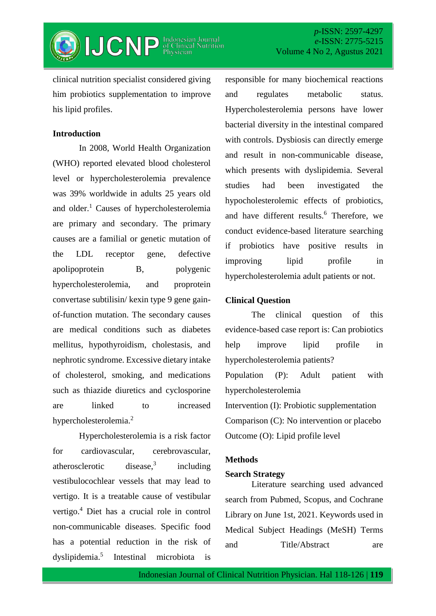

clinical nutrition specialist considered giving him probiotics supplementation to improve his lipid profiles.

### **Introduction**

In 2008, World Health Organization (WHO) reported elevated blood cholesterol level or hypercholesterolemia prevalence was 39% worldwide in adults 25 years old and older.<sup>1</sup> Causes of hypercholesterolemia are primary and secondary. The primary causes are a familial or genetic mutation of the LDL receptor gene, defective apolipoprotein B, polygenic hypercholesterolemia, and proprotein convertase subtilisin/ kexin type 9 gene gainof-function mutation. The secondary causes are medical conditions such as diabetes mellitus, hypothyroidism, cholestasis, and nephrotic syndrome. Excessive dietary intake of cholesterol, smoking, and medications such as thiazide diuretics and cyclosporine are linked to increased hypercholesterolemia.<sup>2</sup>

Hypercholesterolemia is a risk factor for cardiovascular, cerebrovascular, atherosclerotic disease,<sup>3</sup> including vestibulocochlear vessels that may lead to vertigo. It is a treatable cause of vestibular vertigo.<sup>4</sup> Diet has a crucial role in control non-communicable diseases. Specific food has a potential reduction in the risk of dyslipidemia.<sup>5</sup> Intestinal microbiota is

responsible for many biochemical reactions and regulates metabolic status. Hypercholesterolemia persons have lower bacterial diversity in the intestinal compared with controls. Dysbiosis can directly emerge and result in non-communicable disease, which presents with dyslipidemia. Several studies had been investigated the hypocholesterolemic effects of probiotics, and have different results.<sup>6</sup> Therefore, we conduct evidence-based literature searching if probiotics have positive results in improving lipid profile in hypercholesterolemia adult patients or not.

#### **Clinical Question**

hypercholesterolemia

The clinical question of this evidence-based case report is: Can probiotics help improve lipid profile in hypercholesterolemia patients? Population (P): Adult patient with

Intervention (I): Probiotic supplementation Comparison (C): No intervention or placebo Outcome (O): Lipid profile level

#### **Methods**

#### **Search Strategy**

Literature searching used advanced search from Pubmed, Scopus, and Cochrane Library on June 1st, 2021. Keywords used in Medical Subject Headings (MeSH) Terms and Title/Abstract are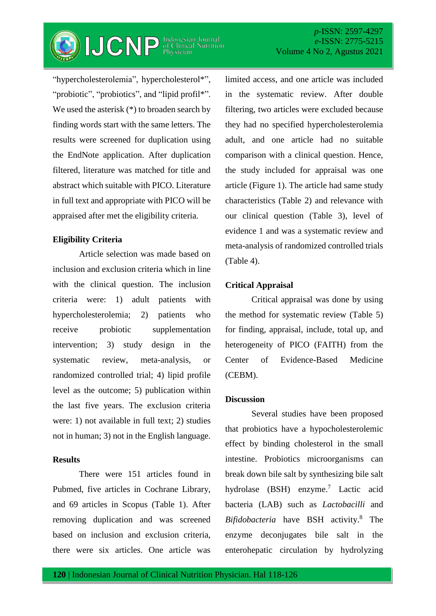

*p*-ISSN: 2597-4297 *e*-ISSN: 2775-5215 Volume 4 No 2, Agustus 2021

"hypercholesterolemia", hypercholesterol\*", "probiotic", "probiotics", and "lipid profil\*". We used the asterisk  $(*)$  to broaden search by finding words start with the same letters. The results were screened for duplication using the EndNote application. After duplication filtered, literature was matched for title and abstract which suitable with PICO. Literature in full text and appropriate with PICO will be appraised after met the eligibility criteria.

# **Eligibility Criteria**

Article selection was made based on inclusion and exclusion criteria which in line with the clinical question. The inclusion criteria were: 1) adult patients with hypercholesterolemia; 2) patients who receive probiotic supplementation intervention; 3) study design in the systematic review, meta-analysis, or randomized controlled trial; 4) lipid profile level as the outcome; 5) publication within the last five years. The exclusion criteria were: 1) not available in full text; 2) studies not in human; 3) not in the English language.

## **Results**

There were 151 articles found in Pubmed, five articles in Cochrane Library, and 69 articles in Scopus (Table 1). After removing duplication and was screened based on inclusion and exclusion criteria, there were six articles. One article was

limited access, and one article was included in the systematic review. After double filtering, two articles were excluded because they had no specified hypercholesterolemia adult, and one article had no suitable comparison with a clinical question. Hence, the study included for appraisal was one article (Figure 1). The article had same study characteristics (Table 2) and relevance with our clinical question (Table 3), level of evidence 1 and was a systematic review and meta-analysis of randomized controlled trials (Table 4).

# **Critical Appraisal**

Critical appraisal was done by using the method for systematic review (Table 5) for finding, appraisal, include, total up, and heterogeneity of PICO (FAITH) from the Center of Evidence-Based Medicine (CEBM).

### **Discussion**

Several studies have been proposed that probiotics have a hypocholesterolemic effect by binding cholesterol in the small intestine. Probiotics microorganisms can break down bile salt by synthesizing bile salt hydrolase (BSH) enzyme.<sup>7</sup> Lactic acid bacteria (LAB) such as *Lactobacilli* and *Bifidobacteria* have BSH activity.<sup>8</sup> The enzyme deconjugates bile salt in the enterohepatic circulation by hydrolyzing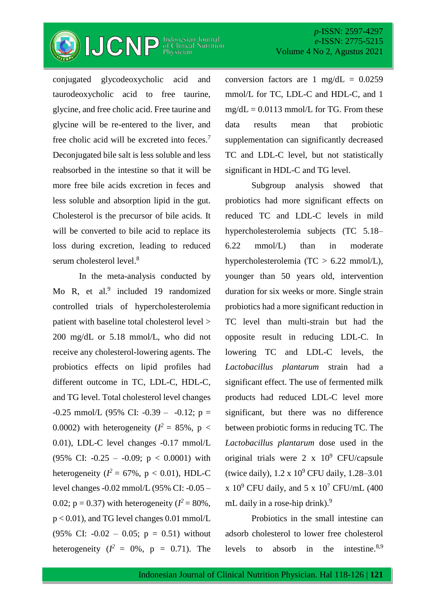

conjugated glycodeoxycholic acid and taurodeoxycholic acid to free taurine, glycine, and free cholic acid. Free taurine and glycine will be re-entered to the liver, and free cholic acid will be excreted into feces.<sup>7</sup> Deconjugated bile salt is less soluble and less reabsorbed in the intestine so that it will be more free bile acids excretion in feces and less soluble and absorption lipid in the gut. Cholesterol is the precursor of bile acids. It will be converted to bile acid to replace its loss during excretion, leading to reduced serum cholesterol level. 8

In the meta-analysis conducted by Mo R, et al.<sup>9</sup> included 19 randomized controlled trials of hypercholesterolemia patient with baseline total cholesterol level > 200 mg/dL or 5.18 mmol/L, who did not receive any cholesterol-lowering agents. The probiotics effects on lipid profiles had different outcome in TC, LDL-C, HDL-C, and TG level. Total cholesterol level changes  $-0.25$  mmol/L (95% CI:  $-0.39 - -0.12$ ; p = 0.0002) with heterogeneity  $(I^2 = 85\%, p <$ 0.01), LDL-C level changes -0.17 mmol/L (95% CI:  $-0.25 - 0.09$ ;  $p < 0.0001$ ) with heterogeneity  $(I^2 = 67\%$ ,  $p < 0.01$ ), HDL-C level changes -0.02 mmol/L (95% CI: -0.05 – 0.02;  $p = 0.37$ ) with heterogeneity ( $I^2 = 80\%$ , p < 0.01), and TG level changes 0.01 mmol/L (95% CI:  $-0.02 - 0.05$ ; p = 0.51) without heterogeneity  $(I^2 = 0\%, p = 0.71)$ . The

conversion factors are 1 mg/dL =  $0.0259$ mmol/L for TC, LDL-C and HDL-C, and 1  $mg/dL = 0.0113$  mmol/L for TG. From these data results mean that probiotic supplementation can significantly decreased TC and LDL-C level, but not statistically significant in HDL-C and TG level.

Subgroup analysis showed that probiotics had more significant effects on reduced TC and LDL-C levels in mild hypercholesterolemia subjects (TC 5.18– 6.22 mmol/L) than in moderate hypercholesterolemia (TC > 6.22 mmol/L), younger than 50 years old, intervention duration for six weeks or more. Single strain probiotics had a more significant reduction in TC level than multi-strain but had the opposite result in reducing LDL-C. In lowering TC and LDL-C levels, the *Lactobacillus plantarum* strain had a significant effect. The use of fermented milk products had reduced LDL-C level more significant, but there was no difference between probiotic forms in reducing TC. The *Lactobacillus plantarum* dose used in the original trials were  $2 \times 10^9$  CFU/capsule (twice daily),  $1.2 \times 10^9$  CFU daily,  $1.28-3.01$ x  $10^9$  CFU daily, and 5 x  $10^7$  CFU/mL (400 mL daily in a rose-hip drink).<sup>9</sup>

Probiotics in the small intestine can adsorb cholesterol to lower free cholesterol levels to absorb in the intestine. $8,9$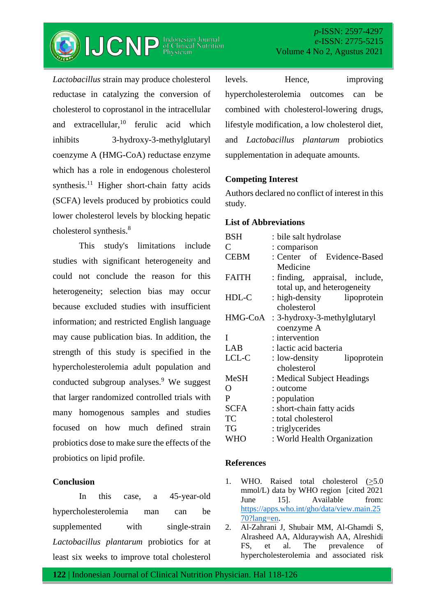

*Lactobacillus* strain may produce cholesterol reductase in catalyzing the conversion of cholesterol to coprostanol in the intracellular and extracellular,  $10$  ferulic acid which inhibits 3-hydroxy-3-methylglutaryl coenzyme A (HMG-CoA) reductase enzyme which has a role in endogenous cholesterol synthesis. <sup>11</sup> Higher short-chain fatty acids (SCFA) levels produced by probiotics could lower cholesterol levels by blocking hepatic cholesterol synthesis.<sup>8</sup>

This study's limitations include studies with significant heterogeneity and could not conclude the reason for this heterogeneity; selection bias may occur because excluded studies with insufficient information; and restricted English language may cause publication bias. In addition, the strength of this study is specified in the hypercholesterolemia adult population and conducted subgroup analyses.<sup>9</sup> We suggest that larger randomized controlled trials with many homogenous samples and studies focused on how much defined strain probiotics dose to make sure the effects of the probiotics on lipid profile.

### **Conclusion**

In this case, a 45-year-old hypercholesterolemia man can be supplemented with single-strain *Lactobacillus plantarum* probiotics for at least six weeks to improve total cholesterol levels. Hence, improving hypercholesterolemia outcomes can be combined with cholesterol-lowering drugs, lifestyle modification, a low cholesterol diet, and *Lactobacillus plantarum* probiotics supplementation in adequate amounts.

### **Competing Interest**

Authors declared no conflict of interest in this study.

# **List of Abbreviations**

| <b>BSH</b>     | : bile salt hydrolase          |  |  |  |  |  |
|----------------|--------------------------------|--|--|--|--|--|
| C              | : comparison                   |  |  |  |  |  |
| <b>CEBM</b>    | : Center of Evidence-Based     |  |  |  |  |  |
|                | Medicine                       |  |  |  |  |  |
| <b>FAITH</b>   | : finding, appraisal, include, |  |  |  |  |  |
|                | total up, and heterogeneity    |  |  |  |  |  |
| HDL-C          | : high-density lipoprotein     |  |  |  |  |  |
|                | cholesterol                    |  |  |  |  |  |
| HMG-CoA        | : 3-hydroxy-3-methylglutaryl   |  |  |  |  |  |
|                | coenzyme A                     |  |  |  |  |  |
| I              | : intervention                 |  |  |  |  |  |
| LAB            | : lactic acid bacteria         |  |  |  |  |  |
| LCL-C          | : low-density<br>lipoprotein   |  |  |  |  |  |
|                | cholesterol                    |  |  |  |  |  |
| <b>MeSH</b>    | : Medical Subject Headings     |  |  |  |  |  |
| $\overline{O}$ | : outcome                      |  |  |  |  |  |
| P              | : population                   |  |  |  |  |  |
| <b>SCFA</b>    | : short-chain fatty acids      |  |  |  |  |  |
| TC             | : total cholesterol            |  |  |  |  |  |
| <b>TG</b>      | : triglycerides                |  |  |  |  |  |
| <b>WHO</b>     | : World Health Organization    |  |  |  |  |  |

### **References**

- 1. WHO. Raised total cholesterol  $(>=5.0)$ mmol/L) data by WHO region [cited 2021 June 15]. Available from: [https://apps.who.int/gho/data/view.main.25](https://apps.who.int/gho/data/view.main.2570?lang=en) [70?lang=en.](https://apps.who.int/gho/data/view.main.2570?lang=en)
- 2. Al-Zahrani J, Shubair MM, Al-Ghamdi S, Alrasheed AA, Alduraywish AA, Alreshidi FS, et al. The prevalence of hypercholesterolemia and associated risk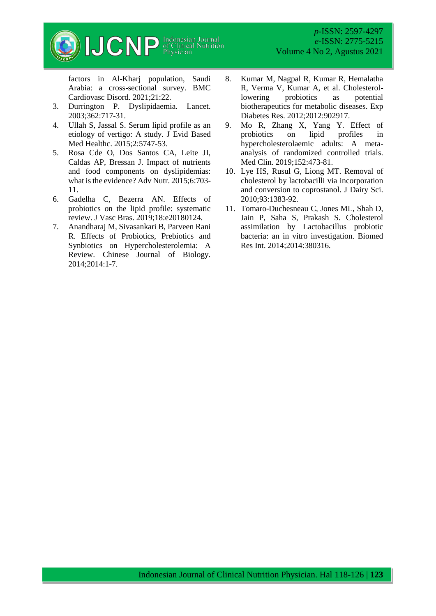

factors in Al-Kharj population, Saudi Arabia: a cross-sectional survey. BMC Cardiovasc Disord. 2021;21:22.

- 3. Durrington P. Dyslipidaemia. Lancet. 2003;362:717-31.
- 4. Ullah S, Jassal S. Serum lipid profile as an etiology of vertigo: A study. J Evid Based Med Healthc. 2015;2:5747-53.
- 5. Rosa Cde O, Dos Santos CA, Leite JI, Caldas AP, Bressan J. Impact of nutrients and food components on dyslipidemias: what is the evidence? Adv Nutr. 2015;6:703- 11.
- 6. Gadelha C, Bezerra AN. Effects of probiotics on the lipid profile: systematic review. J Vasc Bras. 2019;18:e20180124.
- 7. Anandharaj M, Sivasankari B, Parveen Rani R. Effects of Probiotics, Prebiotics and Synbiotics on Hypercholesterolemia: A Review. Chinese Journal of Biology. 2014;2014:1-7.

8. Kumar M, Nagpal R, Kumar R, Hemalatha R, Verma V, Kumar A, et al. Cholesterollowering probiotics as potential biotherapeutics for metabolic diseases. Exp

*p*-ISSN: 2597-4297 *e*-ISSN: 2775-5215

Volume 4 No 2, Agustus 2021

- Diabetes Res. 2012;2012:902917. 9. Mo R, Zhang X, Yang Y. Effect of probiotics on lipid profiles in hypercholesterolaemic adults: A metaanalysis of randomized controlled trials. Med Clin. 2019;152:473-81.
- 10. Lye HS, Rusul G, Liong MT. Removal of cholesterol by lactobacilli via incorporation and conversion to coprostanol. J Dairy Sci. 2010;93:1383-92.
- 11. Tomaro-Duchesneau C, Jones ML, Shah D, Jain P, Saha S, Prakash S. Cholesterol assimilation by Lactobacillus probiotic bacteria: an in vitro investigation. Biomed Res Int. 2014;2014:380316.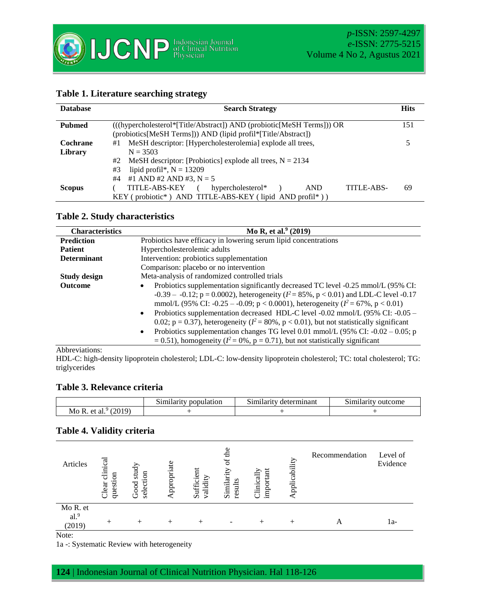

| <b>Database</b> | <b>Hits</b><br><b>Search Strategy</b>                                                                                                                  |    |  |  |  |  |  |  |
|-----------------|--------------------------------------------------------------------------------------------------------------------------------------------------------|----|--|--|--|--|--|--|
| <b>Pubmed</b>   | (((hypercholesterol*[Title/Abstract]) AND (probiotic[MeSH Terms])) OR<br>(probiotics[MeSH Terms])) AND (lipid profil*[Title/Abstract])                 |    |  |  |  |  |  |  |
| Cochrane        | MeSH descriptor: [Hypercholesterolemia] explode all trees,<br>#1                                                                                       |    |  |  |  |  |  |  |
| Library         | $N = 3503$<br>MeSH descriptor: [Probiotics] explode all trees, $N = 2134$<br>#2<br>lipid profil*, $N = 13209$<br>#3<br>#1 AND #2 AND #3, $N = 5$<br>#4 |    |  |  |  |  |  |  |
| <b>Scopus</b>   | TITLE-ABS-<br>TITLE-ABS-KEY (<br>hypercholesterol*<br><b>AND</b><br>$KEY$ (probiotic*) AND TITLE-ABS-KEY (lipid AND profil*))                          | 69 |  |  |  |  |  |  |

#### **Table 2. Study characteristics**

| <b>Characteristics</b> | Mo R, et al. $(2019)$                                                                                                                                                                                                                                                                                                                                                                                                                                                                                                                                                                                                                                                                    |  |  |  |  |  |  |
|------------------------|------------------------------------------------------------------------------------------------------------------------------------------------------------------------------------------------------------------------------------------------------------------------------------------------------------------------------------------------------------------------------------------------------------------------------------------------------------------------------------------------------------------------------------------------------------------------------------------------------------------------------------------------------------------------------------------|--|--|--|--|--|--|
| <b>Prediction</b>      | Probiotics have efficacy in lowering serum lipid concentrations                                                                                                                                                                                                                                                                                                                                                                                                                                                                                                                                                                                                                          |  |  |  |  |  |  |
| <b>Patient</b>         | Hypercholesterolemic adults                                                                                                                                                                                                                                                                                                                                                                                                                                                                                                                                                                                                                                                              |  |  |  |  |  |  |
| <b>Determinant</b>     | Intervention: probiotics supplementation                                                                                                                                                                                                                                                                                                                                                                                                                                                                                                                                                                                                                                                 |  |  |  |  |  |  |
|                        | Comparison: placebo or no intervention                                                                                                                                                                                                                                                                                                                                                                                                                                                                                                                                                                                                                                                   |  |  |  |  |  |  |
| <b>Study design</b>    | Meta-analysis of randomized controlled trials                                                                                                                                                                                                                                                                                                                                                                                                                                                                                                                                                                                                                                            |  |  |  |  |  |  |
| <b>Outcome</b>         | Probiotics supplementation significantly decreased TC level -0.25 mmol/L (95% CI:<br>$\bullet$<br>-0.39 – -0.12; p = 0.0002), heterogeneity ( $l^2$ = 85%, p < 0.01) and LDL-C level -0.17<br>mmol/L (95% CI: -0.25 – -0.09; $p < 0.0001$ ), heterogeneity ( $l^2 = 67$ %, $p < 0.01$ )<br>Probiotics supplementation decreased HDL-C level -0.02 mmol/L (95% CI: -0.05 –<br>$\bullet$<br>0.02; $p = 0.37$ ), heterogeneity ( $l^2 = 80\%$ , $p < 0.01$ ), but not statistically significant<br>Probiotics supplementation changes TG level 0.01 mmol/L (95% CI: $-0.02 - 0.05$ ; p<br>$\bullet$<br>$= 0.51$ ), homogeneity ( $l^2 = 0\%$ , p = 0.71), but not statistically significant |  |  |  |  |  |  |

#### Abbreviations:

HDL-C: high-density lipoprotein cholesterol; LDL-C: low-density lipoprotein cholesterol; TC: total cholesterol; TG: triglycerides

#### **Table 3. Relevance criteria**

|                                                                                   | .<br>latıon<br>m<br>. | determınan<br>-----<br>$-1.1$<br>m | $\sim$<br><b>NHL</b><br>тонне<br>мu |
|-----------------------------------------------------------------------------------|-----------------------|------------------------------------|-------------------------------------|
| $\Omega$<br>$\Omega$<br>Mo<br>к<br>$\mathbf{a}$<br>яι<br>$\mathbf{u}$<br>$\cdots$ |                       |                                    |                                     |

# **Table 4. Validity criteria**

| Articles                               | も<br>questi<br>Clear | study<br>selection<br>Good | ppropriate | Sufficient<br>validity | Similarit<br>results | important<br>Clinicall | pplicability | Recommendation | Level of<br>Evidence |
|----------------------------------------|----------------------|----------------------------|------------|------------------------|----------------------|------------------------|--------------|----------------|----------------------|
| Mo R. et<br>al. <sup>9</sup><br>(2019) |                      |                            |            |                        |                      |                        |              |                | la-                  |

Note:

1a -: Systematic Review with heterogeneity

**124** | Indonesian Journal of Clinical Nutrition Physician. Hal 118-126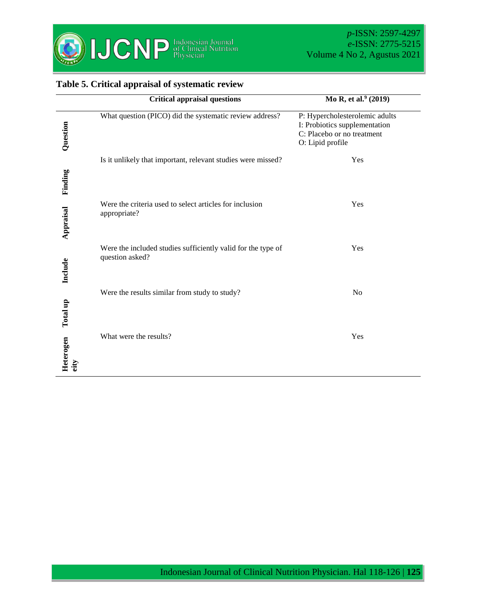

# **Table 5. Critical appraisal of systematic review**

|                   | <b>Critical appraisal questions</b>                                             | Mo R, et al. <sup>9</sup> (2019)                                                                                  |
|-------------------|---------------------------------------------------------------------------------|-------------------------------------------------------------------------------------------------------------------|
| Question          | What question (PICO) did the systematic review address?                         | P: Hypercholesterolemic adults<br>I: Probiotics supplementation<br>C: Placebo or no treatment<br>O: Lipid profile |
| Finding           | Is it unlikely that important, relevant studies were missed?                    | Yes                                                                                                               |
| Appraisal         | Were the criteria used to select articles for inclusion<br>appropriate?         | Yes                                                                                                               |
| Include           | Were the included studies sufficiently valid for the type of<br>question asked? | Yes                                                                                                               |
| Total up          | Were the results similar from study to study?                                   | N <sub>o</sub>                                                                                                    |
| Heterogen<br>eity | What were the results?                                                          | Yes                                                                                                               |